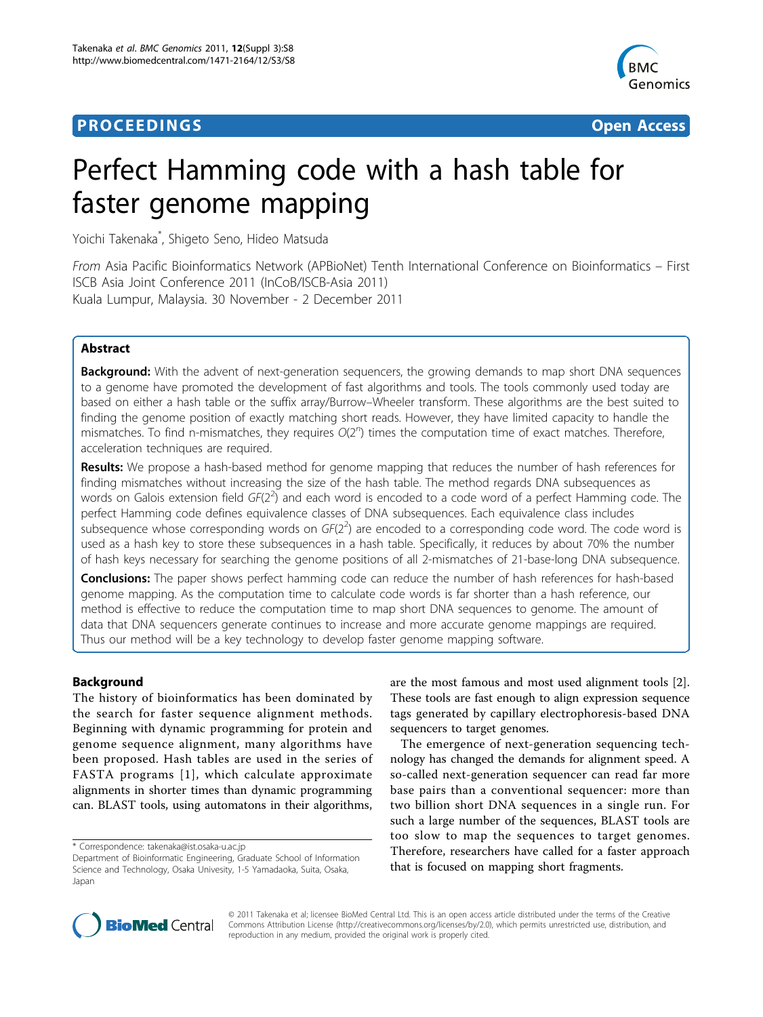# **PROCEEDINGS CONSUMING S** Open Access **CONSUMING S**



# Perfect Hamming code with a hash table for faster genome mapping

Yoichi Takenaka\* , Shigeto Seno, Hideo Matsuda

From Asia Pacific Bioinformatics Network (APBioNet) Tenth International Conference on Bioinformatics – First ISCB Asia Joint Conference 2011 (InCoB/ISCB-Asia 2011) Kuala Lumpur, Malaysia. 30 November - 2 December 2011

# Abstract

**Background:** With the advent of next-generation sequencers, the growing demands to map short DNA sequences to a genome have promoted the development of fast algorithms and tools. The tools commonly used today are based on either a hash table or the suffix array/Burrow–Wheeler transform. These algorithms are the best suited to finding the genome position of exactly matching short reads. However, they have limited capacity to handle the mismatches. To find n-mismatches, they requires  $O(2^n)$  times the computation time of exact matches. Therefore, acceleration techniques are required.

Results: We propose a hash-based method for genome mapping that reduces the number of hash references for finding mismatches without increasing the size of the hash table. The method regards DNA subsequences as words on Galois extension field GF(2<sup>2</sup>) and each word is encoded to a code word of a perfect Hamming code. The perfect Hamming code defines equivalence classes of DNA subsequences. Each equivalence class includes subsequence whose corresponding words on  $GF(2^2)$  are encoded to a corresponding code word. The code word is used as a hash key to store these subsequences in a hash table. Specifically, it reduces by about 70% the number of hash keys necessary for searching the genome positions of all 2-mismatches of 21-base-long DNA subsequence.

**Conclusions:** The paper shows perfect hamming code can reduce the number of hash references for hash-based genome mapping. As the computation time to calculate code words is far shorter than a hash reference, our method is effective to reduce the computation time to map short DNA sequences to genome. The amount of data that DNA sequencers generate continues to increase and more accurate genome mappings are required. Thus our method will be a key technology to develop faster genome mapping software.

# Background

The history of bioinformatics has been dominated by the search for faster sequence alignment methods. Beginning with dynamic programming for protein and genome sequence alignment, many algorithms have been proposed. Hash tables are used in the series of FASTA programs [[1](#page-10-0)], which calculate approximate alignments in shorter times than dynamic programming can. BLAST tools, using automatons in their algorithms,

\* Correspondence: [takenaka@ist.osaka-u.ac.jp](mailto:takenaka@ist.osaka-u.ac.jp)

are the most famous and most used alignment tools [\[2](#page-10-0)]. These tools are fast enough to align expression sequence tags generated by capillary electrophoresis-based DNA sequencers to target genomes.

The emergence of next-generation sequencing technology has changed the demands for alignment speed. A so-called next-generation sequencer can read far more base pairs than a conventional sequencer: more than two billion short DNA sequences in a single run. For such a large number of the sequences, BLAST tools are too slow to map the sequences to target genomes. Therefore, researchers have called for a faster approach that is focused on mapping short fragments.



© 2011 Takenaka et al; licensee BioMed Central Ltd. This is an open access article distributed under the terms of the Creative Commons Attribution License [\(http://creativecommons.org/licenses/by/2.0](http://creativecommons.org/licenses/by/2.0)), which permits unrestricted use, distribution, and reproduction in any medium, provided the original work is properly cited.

Department of Bioinformatic Engineering, Graduate School of Information Science and Technology, Osaka Univesity, 1-5 Yamadaoka, Suita, Osaka, Japan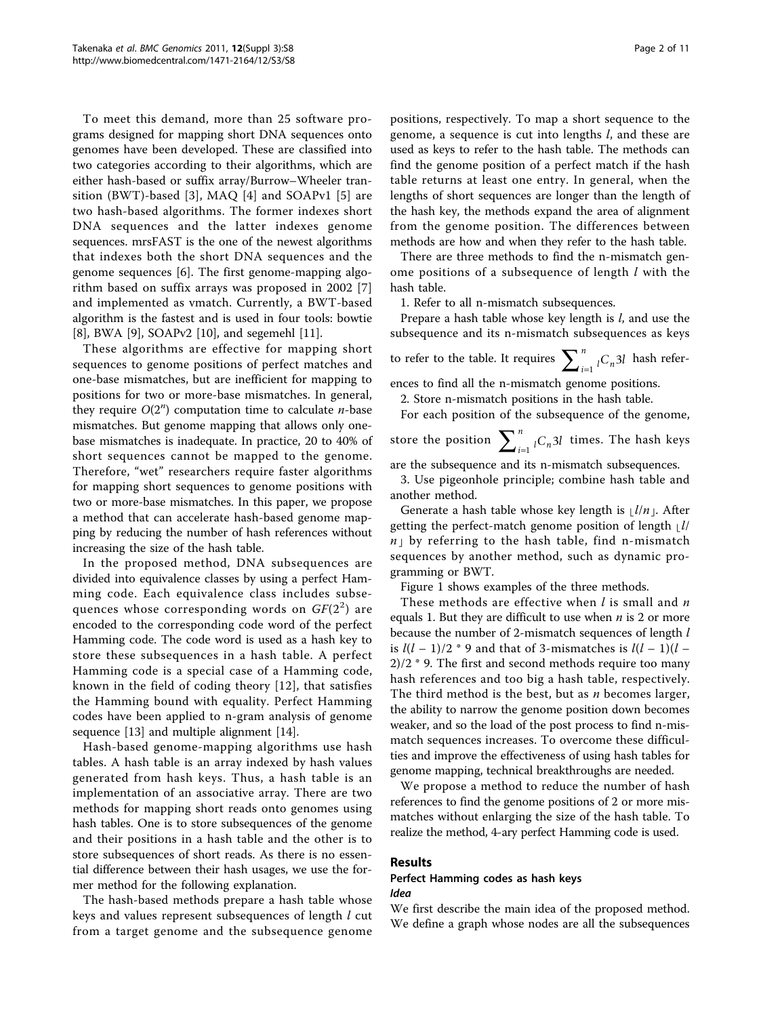To meet this demand, more than 25 software programs designed for mapping short DNA sequences onto genomes have been developed. These are classified into two categories according to their algorithms, which are either hash-based or suffix array/Burrow–Wheeler transition (BWT)-based [[3\]](#page-10-0), MAQ [[4\]](#page-10-0) and SOAPv1 [[5\]](#page-10-0) are two hash-based algorithms. The former indexes short DNA sequences and the latter indexes genome sequences. mrsFAST is the one of the newest algorithms that indexes both the short DNA sequences and the genome sequences [[6\]](#page-10-0). The first genome-mapping algorithm based on suffix arrays was proposed in 2002 [\[7](#page-10-0)] and implemented as vmatch. Currently, a BWT-based algorithm is the fastest and is used in four tools: bowtie [[8\]](#page-10-0), BWA [\[9](#page-10-0)], SOAPv2 [\[10](#page-10-0)], and segemehl [[11\]](#page-10-0).

These algorithms are effective for mapping short sequences to genome positions of perfect matches and one-base mismatches, but are inefficient for mapping to positions for two or more-base mismatches. In general, they require  $O(2^n)$  computation time to calculate *n*-base mismatches. But genome mapping that allows only onebase mismatches is inadequate. In practice, 20 to 40% of short sequences cannot be mapped to the genome. Therefore, "wet" researchers require faster algorithms for mapping short sequences to genome positions with two or more-base mismatches. In this paper, we propose a method that can accelerate hash-based genome mapping by reducing the number of hash references without increasing the size of the hash table.

In the proposed method, DNA subsequences are divided into equivalence classes by using a perfect Hamming code. Each equivalence class includes subsequences whose corresponding words on  $GF(2^2)$  are encoded to the corresponding code word of the perfect Hamming code. The code word is used as a hash key to store these subsequences in a hash table. A perfect Hamming code is a special case of a Hamming code, known in the field of coding theory [[12](#page-10-0)], that satisfies the Hamming bound with equality. Perfect Hamming codes have been applied to n-gram analysis of genome sequence [\[13\]](#page-10-0) and multiple alignment [[14](#page-10-0)].

Hash-based genome-mapping algorithms use hash tables. A hash table is an array indexed by hash values generated from hash keys. Thus, a hash table is an implementation of an associative array. There are two methods for mapping short reads onto genomes using hash tables. One is to store subsequences of the genome and their positions in a hash table and the other is to store subsequences of short reads. As there is no essential difference between their hash usages, we use the former method for the following explanation.

The hash-based methods prepare a hash table whose keys and values represent subsequences of length  $l$  cut from a target genome and the subsequence genome positions, respectively. To map a short sequence to the genome, a sequence is cut into lengths  $l$ , and these are used as keys to refer to the hash table. The methods can find the genome position of a perfect match if the hash table returns at least one entry. In general, when the lengths of short sequences are longer than the length of the hash key, the methods expand the area of alignment from the genome position. The differences between

methods are how and when they refer to the hash table. There are three methods to find the n-mismatch genome positions of a subsequence of length  $l$  with the hash table.

1. Refer to all n-mismatch subsequences.

Prepare a hash table whose key length is  $l$ , and use the subsequence and its n-mismatch subsequences as keys

to refer to the table. It requires  $\sum_{i=1}^{n} {}_{i}C_{n}$ 3*l* hash references to find all the n-mismatch genome positions.

2. Store n-mismatch positions in the hash table.

For each position of the subsequence of the genome,

store the position  $\sum_{i=1}^{n} {}_{l}C_{n}$ 3*l* times. The hash keys are the subsequence and its n-mismatch subsequences.

3. Use pigeonhole principle; combine hash table and another method.

Generate a hash table whose key length is  $\lfloor l/n \rfloor$ . After getting the perfect-match genome position of length  $l/l$  $n_j$  by referring to the hash table, find n-mismatch sequences by another method, such as dynamic programming or BWT.

Figure [1](#page-2-0) shows examples of the three methods.

These methods are effective when  $l$  is small and  $n$ equals 1. But they are difficult to use when  $n$  is 2 or more because the number of 2-mismatch sequences of length l is  $l(l - 1)/2$  \* 9 and that of 3-mismatches is  $l(l - 1)(l -$ 2)/2 \* 9. The first and second methods require too many hash references and too big a hash table, respectively. The third method is the best, but as  $n$  becomes larger, the ability to narrow the genome position down becomes weaker, and so the load of the post process to find n-mismatch sequences increases. To overcome these difficulties and improve the effectiveness of using hash tables for genome mapping, technical breakthroughs are needed.

We propose a method to reduce the number of hash references to find the genome positions of 2 or more mismatches without enlarging the size of the hash table. To realize the method, 4-ary perfect Hamming code is used.

#### Results

## Perfect Hamming codes as hash keys Idea

We first describe the main idea of the proposed method. We define a graph whose nodes are all the subsequences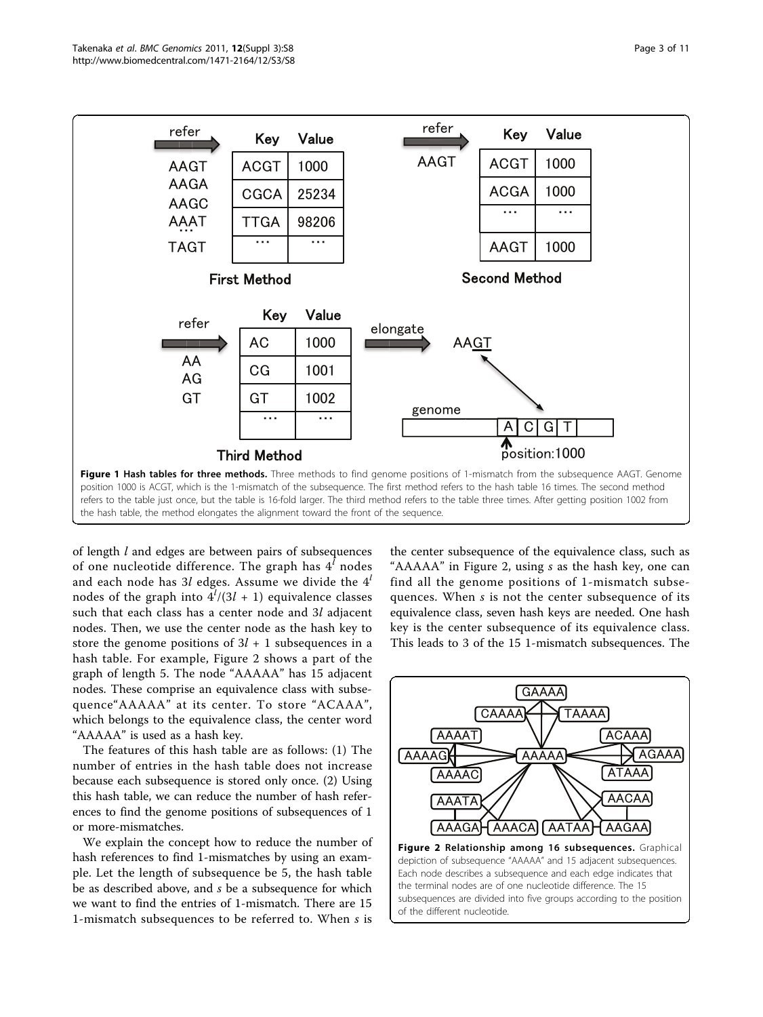<span id="page-2-0"></span>

of length l and edges are between pairs of subsequences of one nucleotide difference. The graph has  $4<sup>l</sup>$  nodes and each node has 3l edges. Assume we divide the  $4<sup>l</sup>$ nodes of the graph into  $4^{l}/(3l + 1)$  equivalence classes such that each class has a center node and 3l adjacent nodes. Then, we use the center node as the hash key to store the genome positions of  $3l + 1$  subsequences in a hash table. For example, Figure 2 shows a part of the graph of length 5. The node "AAAAA" has 15 adjacent nodes. These comprise an equivalence class with subsequence"AAAAA" at its center. To store "ACAAA", which belongs to the equivalence class, the center word "AAAAA" is used as a hash key.

The features of this hash table are as follows: (1) The number of entries in the hash table does not increase because each subsequence is stored only once. (2) Using this hash table, we can reduce the number of hash references to find the genome positions of subsequences of 1 or more-mismatches.

We explain the concept how to reduce the number of hash references to find 1-mismatches by using an example. Let the length of subsequence be 5, the hash table be as described above, and s be a subsequence for which we want to find the entries of 1-mismatch. There are 15 1-mismatch subsequences to be referred to. When s is

the center subsequence of the equivalence class, such as "AAAAA" in Figure 2, using s as the hash key, one can find all the genome positions of 1-mismatch subsequences. When s is not the center subsequence of its equivalence class, seven hash keys are needed. One hash key is the center subsequence of its equivalence class. This leads to 3 of the 15 1-mismatch subsequences. The

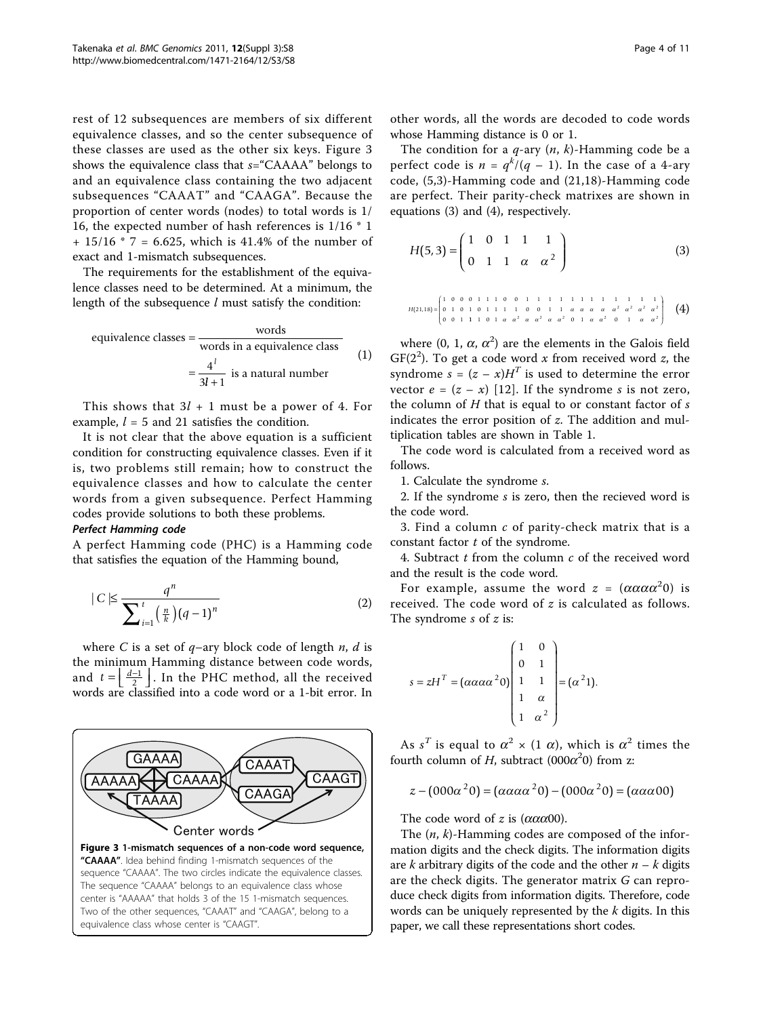rest of 12 subsequences are members of six different equivalence classes, and so the center subsequence of these classes are used as the other six keys. Figure 3 shows the equivalence class that  $s = C_{\text{AAAA}}$ " belongs to and an equivalence class containing the two adjacent subsequences "CAAAT" and "CAAGA". Because the proportion of center words (nodes) to total words is 1/ 16, the expected number of hash references is 1/16 \* 1  $+ 15/16 * 7 = 6.625$ , which is 41.4% of the number of exact and 1-mismatch subsequences.

The requirements for the establishment of the equivalence classes need to be determined. At a minimum, the length of the subsequence  $l$  must satisfy the condition:

equivalence classes = 
$$
\frac{\text{words}}{\text{words in a equivalence class}}
$$
 (1)  
=  $\frac{4^l}{3l+1}$  is a natural number

This shows that  $3l + 1$  must be a power of 4. For example,  $l = 5$  and 21 satisfies the condition.

It is not clear that the above equation is a sufficient condition for constructing equivalence classes. Even if it is, two problems still remain; how to construct the equivalence classes and how to calculate the center words from a given subsequence. Perfect Hamming codes provide solutions to both these problems. Perfect Hamming code

A perfect Hamming code (PHC) is a Hamming code that satisfies the equation of the Hamming bound,

$$
|C| \le \frac{q^n}{\sum_{i=1}^t \left(\frac{n}{k}\right) (q-1)^n} \tag{2}
$$

where C is a set of  $q$ -ary block code of length *n*, *d* is the minimum Hamming distance between code words, and  $t = \left\lfloor \frac{d-1}{2} \right\rfloor$ . In the PHC method, all the received words are classified into a code word or a 1-bit error. In



other words, all the words are decoded to code words whose Hamming distance is 0 or 1.

The condition for a  $q$ -ary  $(n, k)$ -Hamming code be a perfect code is  $n = q^k/(q-1)$ . In the case of a 4-ary code, (5,3)-Hamming code and (21,18)-Hamming code are perfect. Their parity-check matrixes are shown in equations (3) and (4), respectively.

$$
H(5,3) = \begin{pmatrix} 1 & 0 & 1 & 1 & 1 \\ 0 & 1 & 1 & \alpha & \alpha^2 \end{pmatrix}
$$
 (3)

*H*(,) 21 18 10001110 0 1 1 1 1 1 1 1 1 1 1 1 1 01010111 1 0 0 1 1 001 <sup>2222</sup> = aaa <sup>a</sup> <sup>a</sup> <sup>a</sup> <sup>a</sup> <sup>a</sup> 1101 0 1 0 1 222 2 <sup>2</sup> aa aa aa aa <sup>a</sup> <sup>a</sup> <sup>⎟</sup> (4)

where (0, 1,  $\alpha$ ,  $\alpha^2$ ) are the elements in the Galois field GF( $2<sup>2</sup>$ ). To get a code word x from received word z, the syndrome  $s = (z - x)H<sup>T</sup>$  is used to determine the error vector  $e = (z - x)$  [[12](#page-10-0)]. If the syndrome s is not zero, the column of  $H$  that is equal to or constant factor of  $s$ indicates the error position of z. The addition and multiplication tables are shown in Table [1.](#page-4-0)

The code word is calculated from a received word as follows.

1. Calculate the syndrome s.

2. If the syndrome s is zero, then the recieved word is the code word.

3. Find a column  $c$  of parity-check matrix that is a constant factor t of the syndrome.

4. Subtract  $t$  from the column  $c$  of the received word and the result is the code word.

For example, assume the word  $z = (\alpha \alpha \alpha \alpha^2 0)$  is received. The code word of  $z$  is calculated as follows. The syndrome  $s$  of  $z$  is:

$$
s = zH^{T} = (\alpha \alpha \alpha \alpha^{2} 0) \begin{pmatrix} 1 & 0 \\ 0 & 1 \\ 1 & 1 \\ 1 & \alpha \\ 1 & \alpha^{2} \end{pmatrix} = (\alpha^{2} 1).
$$

As  $s^T$  is equal to  $\alpha^2 \times (1 \alpha)$ , which is  $\alpha^2$  times the fourth column of H, subtract (000 $\alpha^2$ 0) from z:

$$
z - (000\alpha^2 0) = (\alpha\alpha\alpha\alpha^2 0) - (000\alpha^2 0) = (\alpha\alpha\alpha 00)
$$

The code word of z is  $(\alpha \alpha \alpha 00)$ .

The  $(n, k)$ -Hamming codes are composed of the information digits and the check digits. The information digits are  $k$  arbitrary digits of the code and the other  $n - k$  digits are the check digits. The generator matrix G can reproduce check digits from information digits. Therefore, code words can be uniquely represented by the k digits. In this paper, we call these representations short codes.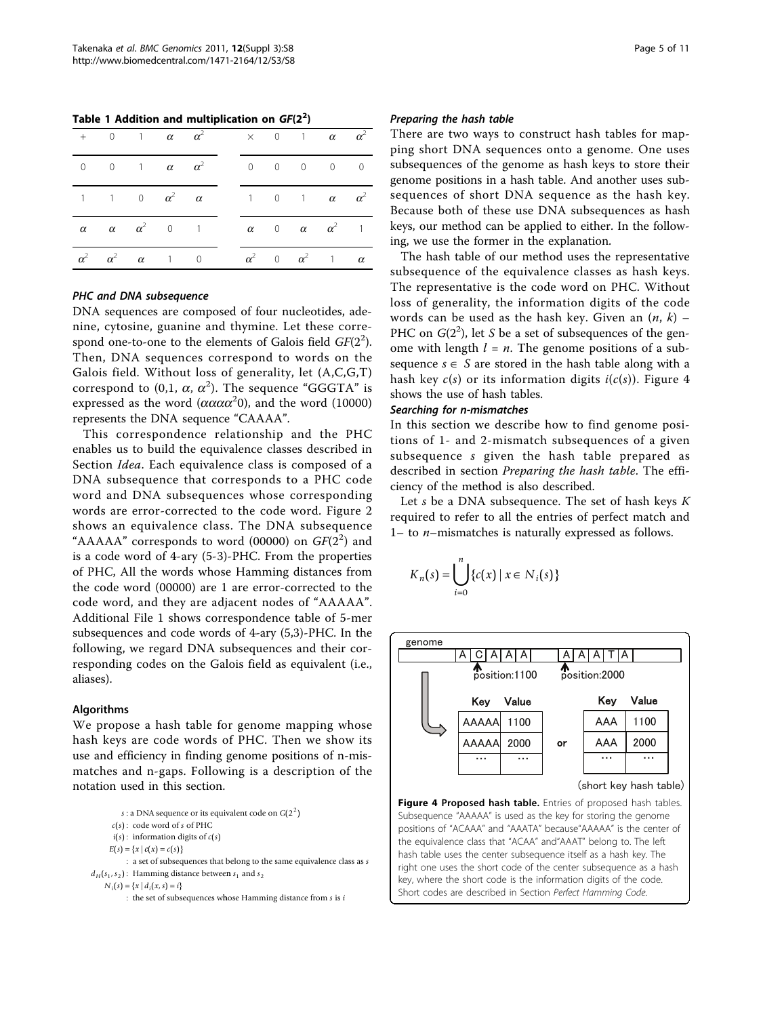<span id="page-4-0"></span>Table 1 Addition and multiplication on  $GF(2^2)$ 

|                           |  | $+$ 0 1 $\alpha$ $\alpha^2$ x 0 1 $\alpha$ $\alpha^2$ |  |  |                                                 |  |
|---------------------------|--|-------------------------------------------------------|--|--|-------------------------------------------------|--|
|                           |  | 0 0 1 $\alpha$ $\alpha^2$                             |  |  | $\begin{matrix} 0 & 0 & 0 & 0 & 0 \end{matrix}$ |  |
| 1 1 0 $\alpha^2$ $\alpha$ |  |                                                       |  |  | 1 0 1 $\alpha$ $\alpha^2$                       |  |
|                           |  | $\alpha$ $\alpha$ $\alpha^2$ 0 1                      |  |  | $\alpha$ 0 $\alpha$ $\alpha^2$ 1                |  |
|                           |  | $\alpha^2$ $\alpha^2$ $\alpha$ 1 0                    |  |  | $\alpha^2$ 0 $\alpha^2$ 1 $\alpha$              |  |

#### PHC and DNA subsequence

DNA sequences are composed of four nucleotides, adenine, cytosine, guanine and thymine. Let these correspond one-to-one to the elements of Galois field  $GF(2^2)$ . Then, DNA sequences correspond to words on the Galois field. Without loss of generality, let (A,C,G,T) correspond to (0,1,  $\alpha$ ,  $\alpha^2$ ). The sequence "GGGTA" is expressed as the word ( $\alpha\alpha\alpha\alpha^2$ 0), and the word (10000) represents the DNA sequence "CAAAA".

This correspondence relationship and the PHC enables us to build the equivalence classes described in Section Idea. Each equivalence class is composed of a DNA subsequence that corresponds to a PHC code word and DNA subsequences whose corresponding words are error-corrected to the code word. Figure [2](#page-2-0) shows an equivalence class. The DNA subsequence "AAAAA" corresponds to word (00000) on  $GF(2^2)$  and is a code word of 4-ary (5-3)-PHC. From the properties of PHC, All the words whose Hamming distances from the code word (00000) are 1 are error-corrected to the code word, and they are adjacent nodes of "AAAAA". Additional File [1](#page-10-0) shows correspondence table of 5-mer subsequences and code words of 4-ary (5,3)-PHC. In the following, we regard DNA subsequences and their corresponding codes on the Galois field as equivalent (i.e., aliases).

#### Algorithms

We propose a hash table for genome mapping whose hash keys are code words of PHC. Then we show its use and efficiency in finding genome positions of n-mismatches and n-gaps. Following is a description of the notation used in this section.

```
s : a DNA sequence or its equivalent code on G(2^2)
```

```
c(s): code word of s of PHC
```

```
i(s): information digits of c(s)
```

```
E(s) = \{x \mid c(x) = c(s)\}\
```

```
:
 a set of subsequences that belong to the sameequivalence class as 
s
d_H(s_1, s_2): Hamming distance between s_1 and s_2
```

```
N_i(s) = \{x \mid d_i(x, s) = i\}
```

```
: the set of subsequences whose Hamming distance from s is i
```
#### Preparing the hash table

There are two ways to construct hash tables for mapping short DNA sequences onto a genome. One uses subsequences of the genome as hash keys to store their genome positions in a hash table. And another uses subsequences of short DNA sequence as the hash key. Because both of these use DNA subsequences as hash keys, our method can be applied to either. In the following, we use the former in the explanation.

The hash table of our method uses the representative subsequence of the equivalence classes as hash keys. The representative is the code word on PHC. Without loss of generality, the information digits of the code words can be used as the hash key. Given an  $(n, k)$  – PHC on  $G(2^2)$ , let S be a set of subsequences of the genome with length  $l = n$ . The genome positions of a subsequence  $s \in S$  are stored in the hash table along with a hash key  $c(s)$  or its information digits  $i(c(s))$ . Figure 4 shows the use of hash tables.

# Searching for n-mismatches

In this section we describe how to find genome positions of 1- and 2-mismatch subsequences of a given subsequence s given the hash table prepared as described in section Preparing the hash table. The efficiency of the method is also described.

Let s be a DNA subsequence. The set of hash keys  $K$ required to refer to all the entries of perfect match and 1– to  $n$ –mismatches is naturally expressed as follows.

$$
K_n(s) = \bigcup_{i=0}^n \{c(x) \mid x \in N_i(s)\}\
$$

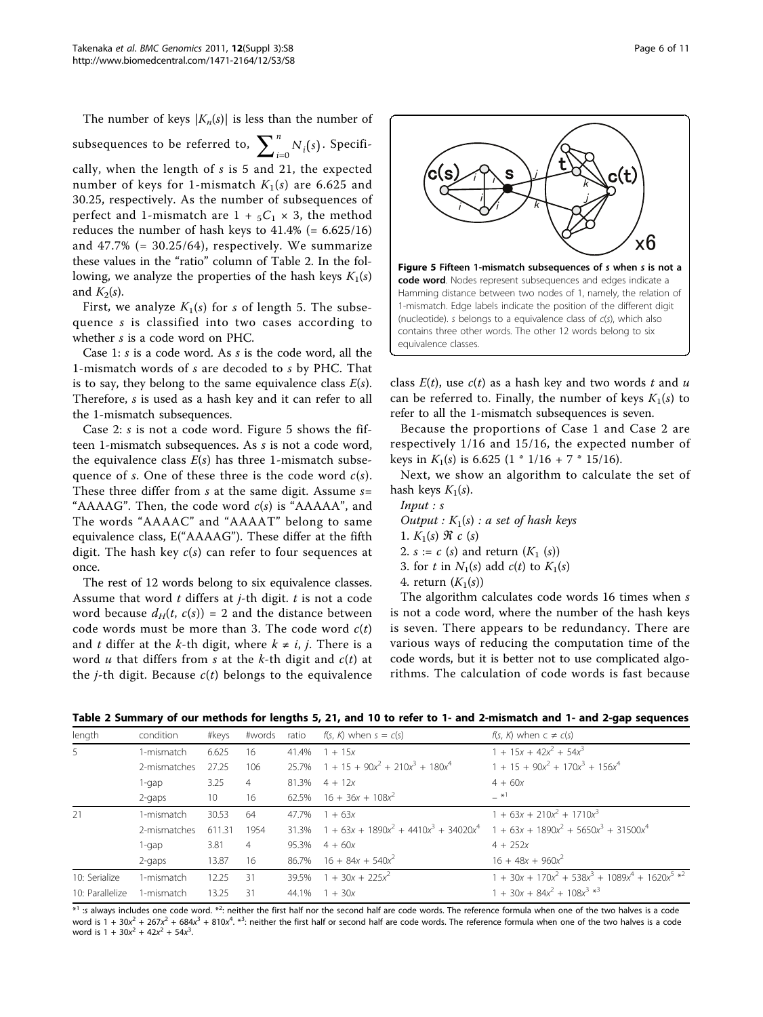<span id="page-5-0"></span>The number of keys  $|K_n(s)|$  is less than the number of subsequences to be referred to,  $\sum_{i=0}^{n} N_i(s)$ . Specifically, when the length of s is 5 and 21, the expected number of keys for 1-mismatch  $K_1(s)$  are 6.625 and 30.25, respectively. As the number of subsequences of perfect and 1-mismatch are  $1 + {}_5C_1 \times 3$ , the method reduces the number of hash keys to  $41.4\%$  (=  $6.625/16$ ) and  $47.7\%$  (= 30.25/64), respectively. We summarize these values in the "ratio" column of Table 2. In the following, we analyze the properties of the hash keys  $K_1(s)$ and  $K_2(s)$ .

First, we analyze  $K_1(s)$  for s of length 5. The subsequence s is classified into two cases according to whether s is a code word on PHC.

Case 1: s is a code word. As s is the code word, all the 1-mismatch words of s are decoded to s by PHC. That is to say, they belong to the same equivalence class  $E(s)$ . Therefore, s is used as a hash key and it can refer to all the 1-mismatch subsequences.

Case 2: s is not a code word. Figure 5 shows the fifteen 1-mismatch subsequences. As s is not a code word, the equivalence class  $E(s)$  has three 1-mismatch subsequence of s. One of these three is the code word  $c(s)$ . These three differ from  $s$  at the same digit. Assume  $s=$ "AAAAG". Then, the code word  $c(s)$  is "AAAAA", and The words "AAAAC" and "AAAAT" belong to same equivalence class, E("AAAAG"). These differ at the fifth digit. The hash key  $c(s)$  can refer to four sequences at once.

The rest of 12 words belong to six equivalence classes. Assume that word  $t$  differs at  $j$ -th digit.  $t$  is not a code word because  $d_H(t, c(s)) = 2$  and the distance between code words must be more than 3. The code word  $c(t)$ and t differ at the k-th digit, where  $k \neq i$ , j. There is a word u that differs from s at the k-th digit and  $c(t)$  at the *j*-th digit. Because  $c(t)$  belongs to the equivalence



class  $E(t)$ , use  $c(t)$  as a hash key and two words t and u can be referred to. Finally, the number of keys  $K_1(s)$  to refer to all the 1-mismatch subsequences is seven.

Because the proportions of Case 1 and Case 2 are respectively 1/16 and 15/16, the expected number of keys in  $K_1(s)$  is 6.625 (1 \* 1/16 + 7 \* 15/16).

Next, we show an algorithm to calculate the set of hash keys  $K_1(s)$ .

Input : s Output :  $K_1(s)$  : a set of hash keys 1.  $K_1(s)$   $\Re\ c\ (s)$ 2. *s* := *c* (*s*) and return  $(K_1(s))$ 3. for t in  $N_1(s)$  add  $c(t)$  to  $K_1(s)$ 4. return  $(K_1(s))$ 

The algorithm calculates code words 16 times when s is not a code word, where the number of the hash keys is seven. There appears to be redundancy. There are various ways of reducing the computation time of the code words, but it is better not to use complicated algorithms. The calculation of code words is fast because



| length          | condition    | #keys           | #words         | ratio | $f(s, k)$ when $s = c(s)$                                                                  | $f(s, K)$ when $c \neq c(s)$                                           |
|-----------------|--------------|-----------------|----------------|-------|--------------------------------------------------------------------------------------------|------------------------------------------------------------------------|
| 5               | 1-mismatch   | 6.625           | 16             | 41.4% | $1 + 15x$                                                                                  | $1 + 15x + 42x^{2} + 54x^{3}$                                          |
|                 | 2-mismatches | 27.25           | 106            |       | $25.7\%$ 1 + 15 + 90 $x^2$ + 210 $x^3$ + 180 $x^4$                                         | $1 + 15 + 90x^{2} + 170x^{3} + 156x^{4}$                               |
|                 | 1-gap        | 3.25            | $\overline{4}$ |       | $81.3\%$ 4 + 12x                                                                           | $4 + 60x$                                                              |
|                 | $2$ -gaps    | 10 <sup>°</sup> | 16             |       | $62.5\%$ 16 + 36x + 108x <sup>2</sup>                                                      | $-$ *1                                                                 |
| 21              | 1-mismatch   | 30.53           | 64             | 47.7% | $1 + 63x$                                                                                  | $1 + 63x + 210x^{2} + 1710x^{3}$                                       |
|                 | 2-mismatches | 611.31          | 1954           |       | $31.3\%$ 1 + $63x + 1890x^2 + 4410x^3 + 34020x^4$ 1 + $63x + 1890x^2 + 5650x^3 + 31500x^4$ |                                                                        |
|                 | $1$ -gap     | 3.81            | $\overline{4}$ | 95.3% | $4 + 60x$                                                                                  | $4 + 252x$                                                             |
|                 | $2$ -gaps    | 13.87           | 16             |       | $86.7\%$ 16 + 84x + 540x <sup>2</sup>                                                      | $16 + 48x + 960x^2$                                                    |
| 10: Serialize   | 1-mismatch   | 12.25           | 31             | 39.5% | $1 + 30x + 225x^2$                                                                         | $1 + 30x + 170x^{2} + 538x^{3} + 1089x^{4} + 1620x^{5}$ * <sup>2</sup> |
| 10: Parallelize | 1-mismatch   | 13.25           | 31             | 44.1% | $1 + 30x$                                                                                  | $1 + 30x + 84x^{2} + 108x^{3}$ * <sup>3</sup>                          |

\*1 :s always includes one code word. \*<sup>2</sup>: neither the first half nor the second half are code words. The reference formula when one of the two halves is a code word is 1 + 30x<sup>2</sup> + 267x<sup>2</sup> + 684x<sup>3</sup> + 810x<sup>4</sup>. \*<sup>3</sup>: neither the first half or second half are code words. The reference formula when one of the two halves is a code word is  $1 + 30x^2 + 42x^2 + 54x^3$ .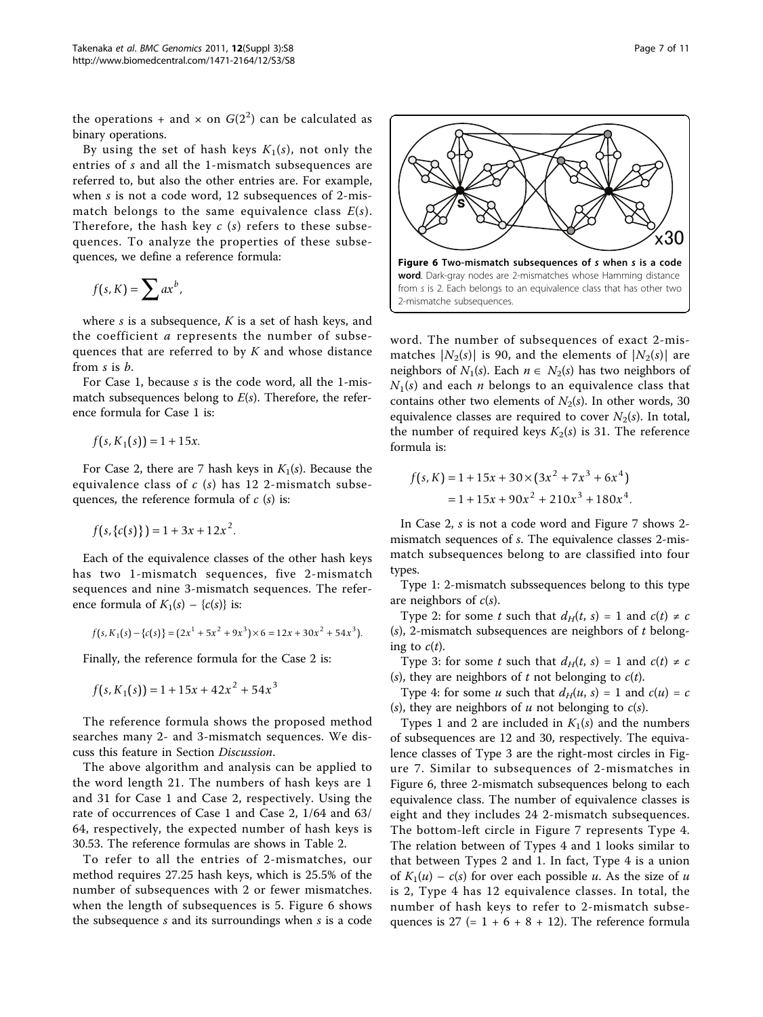the operations + and  $\times$  on  $G(2^2)$  can be calculated as binary operations.

By using the set of hash keys  $K_1(s)$ , not only the entries of s and all the 1-mismatch subsequences are referred to, but also the other entries are. For example, when s is not a code word, 12 subsequences of 2-mismatch belongs to the same equivalence class  $E(s)$ . Therefore, the hash key  $c(s)$  refers to these subsequences. To analyze the properties of these subsequences, we define a reference formula:

$$
f(s,K)=\sum ax^b,
$$

where s is a subsequence,  $K$  is a set of hash keys, and the coefficient a represents the number of subsequences that are referred to by  $K$  and whose distance from s is b.

For Case 1, because s is the code word, all the 1-mismatch subsequences belong to  $E(s)$ . Therefore, the reference formula for Case 1 is:

$$
f(s, K_1(s)) = 1 + 15x.
$$

For Case 2, there are 7 hash keys in  $K_1(s)$ . Because the equivalence class of  $c$  (s) has 12 2-mismatch subsequences, the reference formula of  $c$  (s) is:

$$
f(s, \{c(s)\}) = 1 + 3x + 12x^2.
$$

Each of the equivalence classes of the other hash keys has two 1-mismatch sequences, five 2-mismatch sequences and nine 3-mismatch sequences. The reference formula of  $K_1(s) - \{c(s)\}\$ is:

$$
f(s, K_1(s) - \{c(s)\} = (2x^1 + 5x^2 + 9x^3) \times 6 = 12x + 30x^2 + 54x^3).
$$

Finally, the reference formula for the Case 2 is:

$$
f(s, K_1(s)) = 1 + 15x + 42x^2 + 54x^3
$$

The reference formula shows the proposed method searches many 2- and 3-mismatch sequences. We discuss this feature in Section Discussion.

The above algorithm and analysis can be applied to the word length 21. The numbers of hash keys are 1 and 31 for Case 1 and Case 2, respectively. Using the rate of occurrences of Case 1 and Case 2, 1/64 and 63/ 64, respectively, the expected number of hash keys is 30.53. The reference formulas are shows in Table [2.](#page-5-0)

To refer to all the entries of 2-mismatches, our method requires 27.25 hash keys, which is 25.5% of the number of subsequences with 2 or fewer mismatches. when the length of subsequences is 5. Figure 6 shows the subsequence  $s$  and its surroundings when  $s$  is a code



word. The number of subsequences of exact 2-mismatches  $|N_2(s)|$  is 90, and the elements of  $|N_2(s)|$  are neighbors of  $N_1(s)$ . Each  $n \in N_2(s)$  has two neighbors of  $N_1(s)$  and each *n* belongs to an equivalence class that contains other two elements of  $N_2(s)$ . In other words, 30 equivalence classes are required to cover  $N_2(s)$ . In total, the number of required keys  $K_2(s)$  is 31. The reference formula is:

$$
f(s, K) = 1 + 15x + 30 \times (3x2 + 7x3 + 6x4)
$$
  
= 1 + 15x + 90x<sup>2</sup> + 210x<sup>3</sup> + 180x<sup>4</sup>.

In Case 2, s is not a code word and Figure [7](#page-7-0) shows 2 mismatch sequences of s. The equivalence classes 2-mismatch subsequences belong to are classified into four types.

Type 1: 2-mismatch subssequences belong to this type are neighbors of  $c(s)$ .

Type 2: for some t such that  $d_H(t, s) = 1$  and  $c(t) \neq c$ (s), 2-mismatch subsequences are neighbors of  $t$  belonging to  $c(t)$ .

Type 3: for some t such that  $d_H(t, s) = 1$  and  $c(t) \neq c$ (s), they are neighbors of  $t$  not belonging to  $c(t)$ .

Type 4: for some *u* such that  $d_H(u, s) = 1$  and  $c(u) = c$ (s), they are neighbors of  $u$  not belonging to  $c(s)$ .

Types 1 and 2 are included in  $K_1(s)$  and the numbers of subsequences are 12 and 30, respectively. The equivalence classes of Type 3 are the right-most circles in Figure [7](#page-7-0). Similar to subsequences of 2-mismatches in Figure 6, three 2-mismatch subsequences belong to each equivalence class. The number of equivalence classes is eight and they includes 24 2-mismatch subsequences. The bottom-left circle in Figure [7](#page-7-0) represents Type 4. The relation between of Types 4 and 1 looks similar to that between Types 2 and 1. In fact, Type 4 is a union of  $K_1(u) - c(s)$  for over each possible u. As the size of u is 2, Type 4 has 12 equivalence classes. In total, the number of hash keys to refer to 2-mismatch subsequences is  $27 (= 1 + 6 + 8 + 12)$ . The reference formula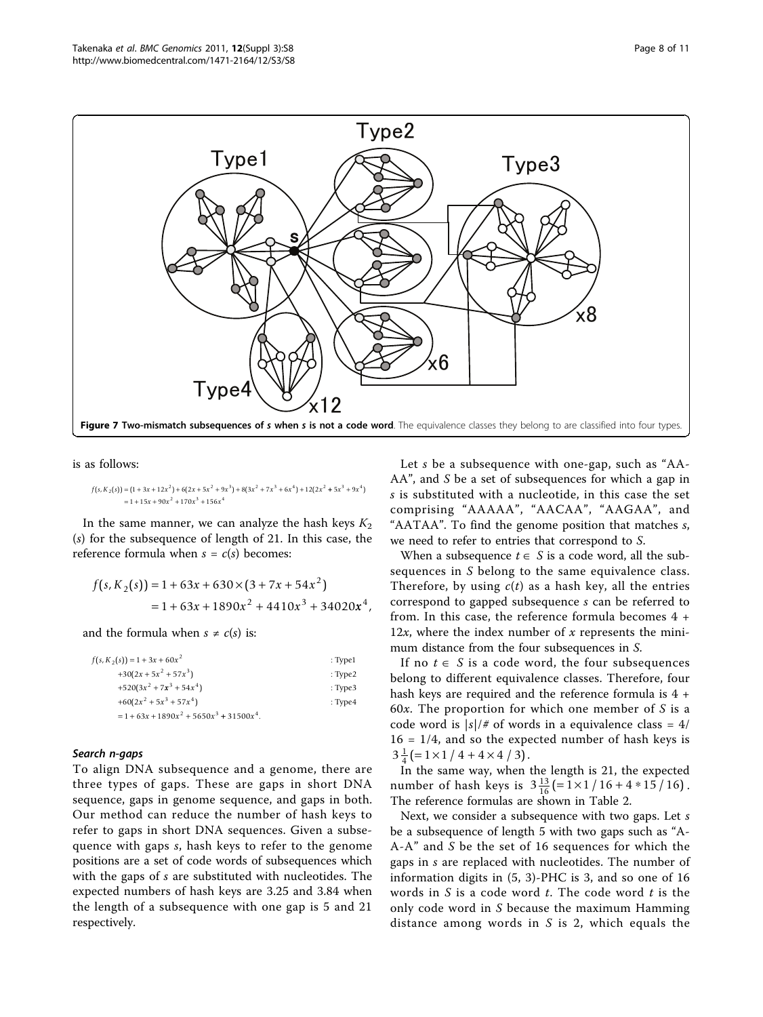<span id="page-7-0"></span>

is as follows:

In the same manner, we can analyze the hash keys  $K_2$ (s) for the subsequence of length of 21. In this case, the reference formula when  $s = c(s)$  becomes:

$$
f(s, K_2(s)) = 1 + 63x + 630 \times (3 + 7x + 54x^2)
$$
  
= 1 + 63x + 1890x<sup>2</sup> + 4410x<sup>3</sup> + 34020x<sup>4</sup>,

and the formula when  $s \neq c(s)$  is:

| $f(s, K_2(s)) = 1 + 3x + 60x^2$                    | : Type1 |
|----------------------------------------------------|---------|
| $+30(2x+5x^2+57x^3)$                               | : Type2 |
| $+520(3x^{2} + 7x^{3} + 54x^{4})$                  | : Type3 |
| $+60(2x^2+5x^3+57x^4)$                             | : Type4 |
| $= 1 + 63x + 1890x^{2} + 5650x^{3} + 31500x^{4}$ . |         |

## Search n-gaps

To align DNA subsequence and a genome, there are three types of gaps. These are gaps in short DNA sequence, gaps in genome sequence, and gaps in both. Our method can reduce the number of hash keys to refer to gaps in short DNA sequences. Given a subsequence with gaps s, hash keys to refer to the genome positions are a set of code words of subsequences which with the gaps of s are substituted with nucleotides. The expected numbers of hash keys are 3.25 and 3.84 when the length of a subsequence with one gap is 5 and 21 respectively.

Let *s* be a subsequence with one-gap, such as "AA-AA", and S be a set of subsequences for which a gap in s is substituted with a nucleotide, in this case the set comprising "AAAAA", "AACAA", "AAGAA", and "AATAA". To find the genome position that matches s, we need to refer to entries that correspond to S.

When a subsequence  $t \in S$  is a code word, all the subsequences in S belong to the same equivalence class. Therefore, by using  $c(t)$  as a hash key, all the entries correspond to gapped subsequence s can be referred to from. In this case, the reference formula becomes 4 + 12x, where the index number of  $x$  represents the minimum distance from the four subsequences in S.

If no  $t \in S$  is a code word, the four subsequences belong to different equivalence classes. Therefore, four hash keys are required and the reference formula is 4 + 60x. The proportion for which one member of  $S$  is a code word is  $|s|/\#$  of words in a equivalence class = 4/  $16 = 1/4$ , and so the expected number of hash keys is  $3\frac{1}{4}$  (= 1 × 1 / 4 + 4 × 4 / 3).

In the same way, when the length is 21, the expected number of hash keys is  $3\frac{13}{16} (= 1 \times 1 / 16 + 4 * 15 / 16)$ . The reference formulas are shown in Table [2](#page-5-0).

Next, we consider a subsequence with two gaps. Let s be a subsequence of length 5 with two gaps such as "A-A-A" and S be the set of 16 sequences for which the gaps in s are replaced with nucleotides. The number of information digits in (5, 3)-PHC is 3, and so one of 16 words in  $S$  is a code word  $t$ . The code word  $t$  is the only code word in S because the maximum Hamming distance among words in  $S$  is 2, which equals the

 $f(s, K_2(s)) = (1 + 3x + 12x^2) + 6(2x + 5x^2 + 9x^3) + 8(3x^2 + 7x^3 + 6x^4) + 12(2x^2 + 5x^3 + 9x^4)$  $= 1 + 15x + 90x^{2} + 170x^{3} + 156x^{4}$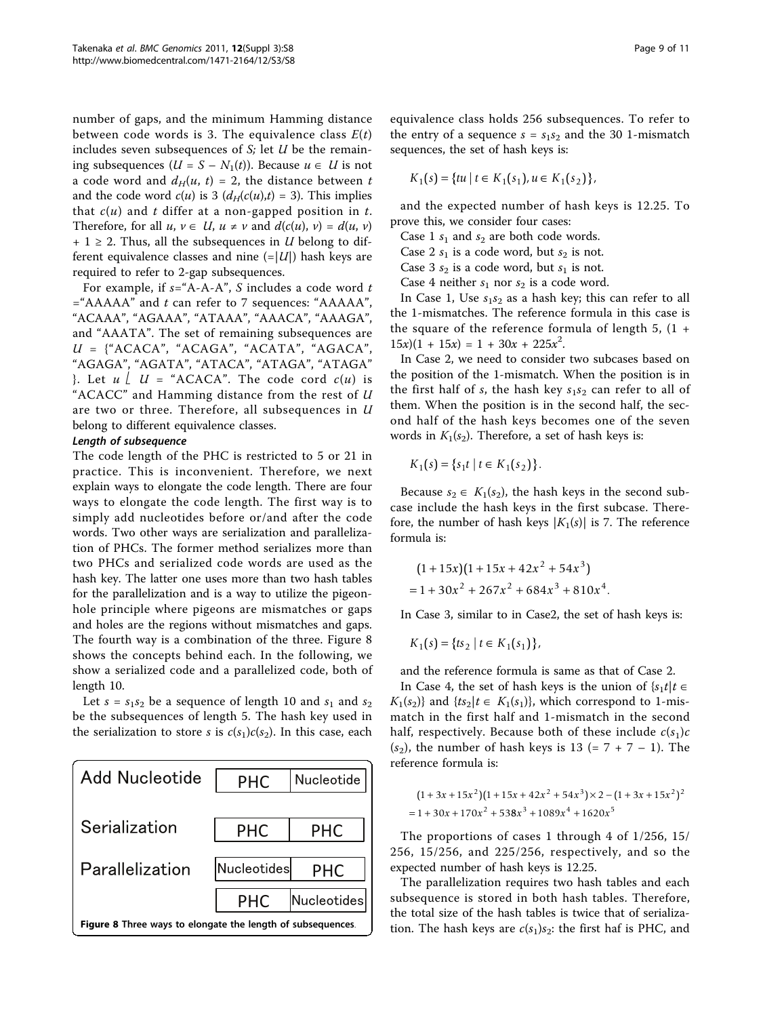number of gaps, and the minimum Hamming distance between code words is 3. The equivalence class  $E(t)$ includes seven subsequences of  $S<sub>i</sub>$  let  $U$  be the remaining subsequences  $(U = S - N_1(t))$ . Because  $u \in U$  is not a code word and  $d_H(u, t) = 2$ , the distance between t and the code word  $c(u)$  is 3  $(d<sub>H</sub>(c(u),t)) = 3$ . This implies that  $c(u)$  and t differ at a non-gapped position in t. Therefore, for all  $u, v \in U$ ,  $u \neq v$  and  $d(c(u), v) = d(u, v)$  $+ 1 \ge 2$ . Thus, all the subsequences in U belong to different equivalence classes and nine  $(=|U|)$  hash keys are required to refer to 2-gap subsequences.

For example, if  $s$ ="A-A-A", S includes a code word t  $=$ "AAAAA" and t can refer to 7 sequences: "AAAAA", "ACAAA", "AGAAA", "ATAAA", "AAACA", "AAAGA", and "AAATA". The set of remaining subsequences are  $U = \{``ACACA", ``ACAGA", ``ACATA", ``AGACA",$ "AGAGA", "AGATA", "ATACA", "ATAGA", "ATAGA" }. Let  $u \mid U =$  "ACACA". The code cord  $c(u)$  is "ACACC" and Hamming distance from the rest of  $U$ are two or three. Therefore, all subsequences in U belong to different equivalence classes.

# Length of subsequence

The code length of the PHC is restricted to 5 or 21 in practice. This is inconvenient. Therefore, we next explain ways to elongate the code length. There are four ways to elongate the code length. The first way is to simply add nucleotides before or/and after the code words. Two other ways are serialization and parallelization of PHCs. The former method serializes more than two PHCs and serialized code words are used as the hash key. The latter one uses more than two hash tables for the parallelization and is a way to utilize the pigeonhole principle where pigeons are mismatches or gaps and holes are the regions without mismatches and gaps. The fourth way is a combination of the three. Figure 8 shows the concepts behind each. In the following, we show a serialized code and a parallelized code, both of length 10.

Let  $s = s_1 s_2$  be a sequence of length 10 and  $s_1$  and  $s_2$ be the subsequences of length 5. The hash key used in the serialization to store s is  $c(s_1)c(s_2)$ . In this case, each



equivalence class holds 256 subsequences. To refer to the entry of a sequence  $s = s_1 s_2$  and the 30 1-mismatch sequences, the set of hash keys is:

$$
K_1(s) = \{ tu \mid t \in K_1(s_1), u \in K_1(s_2) \},
$$

and the expected number of hash keys is 12.25. To prove this, we consider four cases:

Case 1  $s_1$  and  $s_2$  are both code words.

Case 2  $s_1$  is a code word, but  $s_2$  is not.

Case 3  $s_2$  is a code word, but  $s_1$  is not.

Case 4 neither  $s_1$  nor  $s_2$  is a code word.

In Case 1, Use  $s_1s_2$  as a hash key; this can refer to all the 1-mismatches. The reference formula in this case is the square of the reference formula of length 5,  $(1 +$  $15x(1 + 15x) = 1 + 30x + 225x^2$ 

In Case 2, we need to consider two subcases based on the position of the 1-mismatch. When the position is in the first half of s, the hash key  $s_1s_2$  can refer to all of them. When the position is in the second half, the second half of the hash keys becomes one of the seven words in  $K_1(s_2)$ . Therefore, a set of hash keys is:

$$
K_1(s) = \{s_1 t \mid t \in K_1(s_2)\}.
$$

Because  $s_2 \in K_1(s_2)$ , the hash keys in the second subcase include the hash keys in the first subcase. Therefore, the number of hash keys  $|K_1(s)|$  is 7. The reference formula is:

$$
(1+15x)(1+15x+42x2+54x3)
$$
  
= 1 + 30x<sup>2</sup> + 267x<sup>2</sup> + 684x<sup>3</sup> + 810x<sup>4</sup>.

In Case 3, similar to in Case2, the set of hash keys is:

$$
K_1(s) = \{ts_2 \mid t \in K_1(s_1)\},\
$$

and the reference formula is same as that of Case 2.

In Case 4, the set of hash keys is the union of  $\{s_1t | t \in$  $K_1(s_2)$ } and  $\{ts_2 | t \in K_1(s_1)\}$ , which correspond to 1-mismatch in the first half and 1-mismatch in the second half, respectively. Because both of these include  $c(s_1)c$  $(s_2)$ , the number of hash keys is 13 (= 7 + 7 – 1). The reference formula is:

$$
(1+3x+15x2)(1+15x+42x2+54x3) \times 2 - (1+3x+15x2)2
$$
  
= 1+30x+170x<sup>2</sup> + 538x<sup>3</sup> + 1089x<sup>4</sup> + 1620x<sup>5</sup>

The proportions of cases 1 through 4 of 1/256, 15/ 256, 15/256, and 225/256, respectively, and so the expected number of hash keys is 12.25.

The parallelization requires two hash tables and each subsequence is stored in both hash tables. Therefore, the total size of the hash tables is twice that of serialization. The hash keys are  $c(s_1)s_2$ : the first haf is PHC, and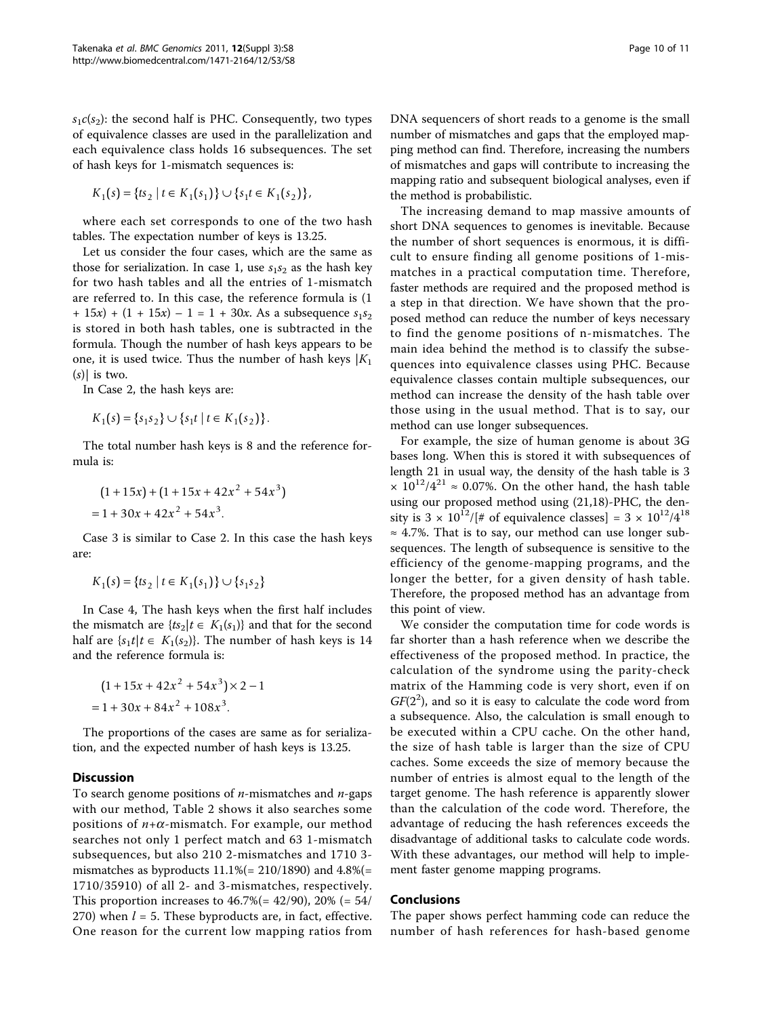$s_1c(s_2)$ : the second half is PHC. Consequently, two types of equivalence classes are used in the parallelization and each equivalence class holds 16 subsequences. The set of hash keys for 1-mismatch sequences is:

$$
K_1(s) = \{ts_2 \mid t \in K_1(s_1)\} \cup \{s_1t \in K_1(s_2)\},\
$$

where each set corresponds to one of the two hash tables. The expectation number of keys is 13.25.

Let us consider the four cases, which are the same as those for serialization. In case 1, use  $s_1s_2$  as the hash key for two hash tables and all the entries of 1-mismatch are referred to. In this case, the reference formula is (1  $+ 15x$ ) +  $(1 + 15x) - 1 = 1 + 30x$ . As a subsequence  $s_1 s_2$ is stored in both hash tables, one is subtracted in the formula. Though the number of hash keys appears to be one, it is used twice. Thus the number of hash keys  $|K_1|$  $(s)$  is two.

In Case 2, the hash keys are:

$$
K_1(s) = \{s_1s_2\} \cup \{s_1t \mid t \in K_1(s_2)\}.
$$

The total number hash keys is 8 and the reference formula is:

$$
(1+15x) + (1+15x+42x2+54x3)
$$
  
= 1 + 30x + 42x<sup>2</sup> + 54x<sup>3</sup>.

Case 3 is similar to Case 2. In this case the hash keys are:

$$
K_1(s) = \{ ts_2 \mid t \in K_1(s_1) \} \cup \{ s_1 s_2 \}
$$

In Case 4, The hash keys when the first half includes the mismatch are  $\{ts_2 | t \in K_1(s_1)\}\$  and that for the second half are  $\{s_1t | t \in K_1(s_2)\}\$ . The number of hash keys is 14 and the reference formula is:

$$
(1+15x+42x2+54x3) \times 2-1
$$
  
= 1 + 30x + 84x<sup>2</sup> + 108x<sup>3</sup>.

The proportions of the cases are same as for serialization, and the expected number of hash keys is 13.25.

## **Discussion**

To search genome positions of  $n$ -mismatches and  $n$ -gaps with our method, Table [2](#page-5-0) shows it also searches some positions of  $n+\alpha$ -mismatch. For example, our method searches not only 1 perfect match and 63 1-mismatch subsequences, but also 210 2-mismatches and 1710 3 mismatches as byproducts  $11.1\% (= 210/1890)$  and  $4.8\% (=$ 1710/35910) of all 2- and 3-mismatches, respectively. This proportion increases to  $46.7\% = 42/90$ ,  $20\% = 54/$ 270) when  $l = 5$ . These byproducts are, in fact, effective. One reason for the current low mapping ratios from DNA sequencers of short reads to a genome is the small number of mismatches and gaps that the employed mapping method can find. Therefore, increasing the numbers of mismatches and gaps will contribute to increasing the mapping ratio and subsequent biological analyses, even if the method is probabilistic.

The increasing demand to map massive amounts of short DNA sequences to genomes is inevitable. Because the number of short sequences is enormous, it is difficult to ensure finding all genome positions of 1-mismatches in a practical computation time. Therefore, faster methods are required and the proposed method is a step in that direction. We have shown that the proposed method can reduce the number of keys necessary to find the genome positions of n-mismatches. The main idea behind the method is to classify the subsequences into equivalence classes using PHC. Because equivalence classes contain multiple subsequences, our method can increase the density of the hash table over those using in the usual method. That is to say, our method can use longer subsequences.

For example, the size of human genome is about 3G bases long. When this is stored it with subsequences of length 21 in usual way, the density of the hash table is 3  $\times$  10<sup>12</sup>/4<sup>21</sup>  $\approx$  0.07%. On the other hand, the hash table using our proposed method using (21,18)-PHC, the density is  $3 \times 10^{12}/[$ # of equivalence classes] =  $3 \times 10^{12}/4^{18}$  $\approx$  4.7%. That is to say, our method can use longer subsequences. The length of subsequence is sensitive to the efficiency of the genome-mapping programs, and the longer the better, for a given density of hash table. Therefore, the proposed method has an advantage from this point of view.

We consider the computation time for code words is far shorter than a hash reference when we describe the effectiveness of the proposed method. In practice, the calculation of the syndrome using the parity-check matrix of the Hamming code is very short, even if on  $GF(2<sup>2</sup>)$ , and so it is easy to calculate the code word from a subsequence. Also, the calculation is small enough to be executed within a CPU cache. On the other hand, the size of hash table is larger than the size of CPU caches. Some exceeds the size of memory because the number of entries is almost equal to the length of the target genome. The hash reference is apparently slower than the calculation of the code word. Therefore, the advantage of reducing the hash references exceeds the disadvantage of additional tasks to calculate code words. With these advantages, our method will help to implement faster genome mapping programs.

## Conclusions

The paper shows perfect hamming code can reduce the number of hash references for hash-based genome